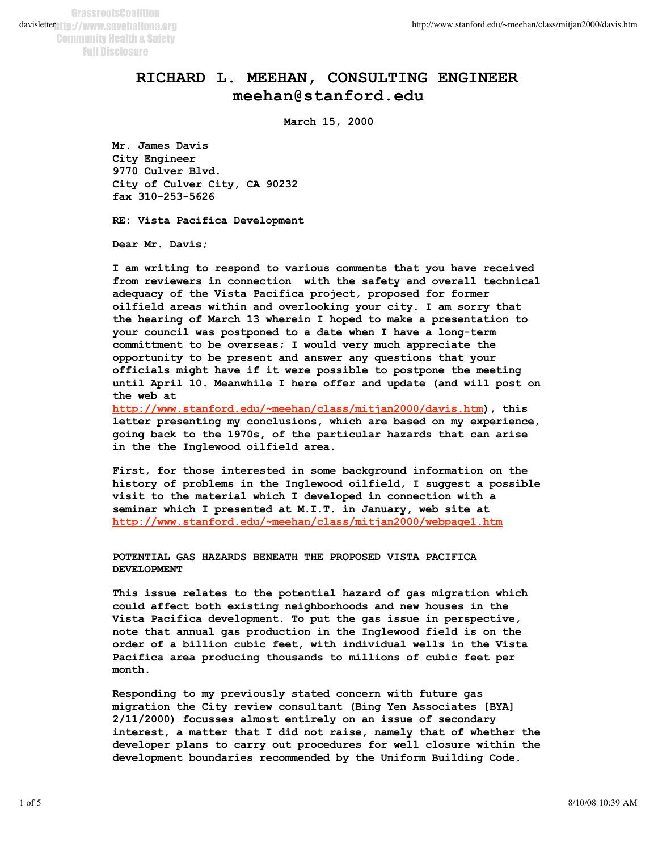## **RICHARD L. MEEHAN, CONSULTING ENGINEER meehan@stanford.edu**

**March 15, 2000**

**Mr. James Davis City Engineer 9770 Culver Blvd. City of Culver City, CA 90232 fax 310-253-5626**

**RE: Vista Pacifica Development**

**Dear Mr. Davis;**

**I am writing to respond to various comments that you have received from reviewers in connection with the safety and overall technical adequacy of the Vista Pacifica project, proposed for former oilfield areas within and overlooking your city. I am sorry that the hearing of March 13 wherein I hoped to make a presentation to your council was postponed to a date when I have a long-term committment to be overseas; I would very much appreciate the opportunity to be present and answer any questions that your officials might have if it were possible to postpone the meeting until April 10. Meanwhile I here offer and update (and will post on the web at** 

**http://www.stanford.edu/~meehan/class/mitjan2000/davis.htm), this letter presenting my conclusions, which are based on my experience, going back to the 1970s, of the particular hazards that can arise in the the Inglewood oilfield area.** 

**First, for those interested in some background information on the history of problems in the Inglewood oilfield, I suggest a possible visit to the material which I developed in connection with a seminar which I presented at M.I.T. in January, web site at http://www.stanford.edu/~meehan/class/mitjan2000/webpage1.htm**

**POTENTIAL GAS HAZARDS BENEATH THE PROPOSED VISTA PACIFICA DEVELOPMENT**

**This issue relates to the potential hazard of gas migration which could affect both existing neighborhoods and new houses in the Vista Pacifica development. To put the gas issue in perspective, note that annual gas production in the Inglewood field is on the order of a billion cubic feet, with individual wells in the Vista Pacifica area producing thousands to millions of cubic feet per month.** 

**Responding to my previously stated concern with future gas migration the City review consultant (Bing Yen Associates [BYA] 2/11/2000) focusses almost entirely on an issue of secondary interest, a matter that I did not raise, namely that of whether the developer plans to carry out procedures for well closure within the development boundaries recommended by the Uniform Building Code.**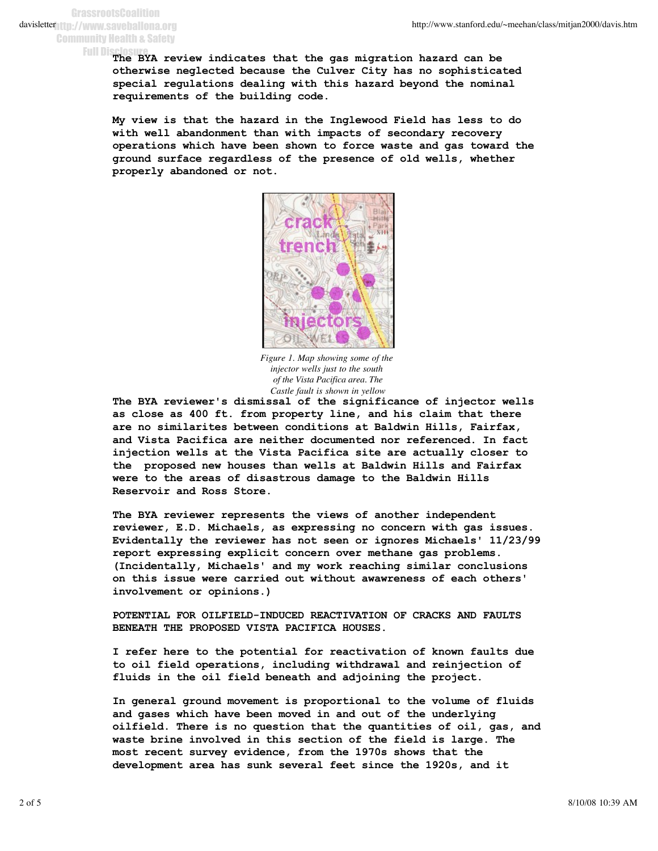**GrassrootsCoalition** davisletter 11.//www.saveballona.org Community Health & Safety

Full Disclosure<br>The BYA review indicates that the gas migration hazard can be **otherwise neglected because the Culver City has no sophisticated special regulations dealing with this hazard beyond the nominal requirements of the building code.** 

**My view is that the hazard in the Inglewood Field has less to do with well abandonment than with impacts of secondary recovery operations which have been shown to force waste and gas toward the ground surface regardless of the presence of old wells, whether properly abandoned or not.**



*Figure 1. Map showing some of the injector wells just to the south of the Vista Pacifica area. The Castle fault is shown in yellow*

**The BYA reviewer's dismissal of the significance of injector wells as close as 400 ft. from property line, and his claim that there are no similarites between conditions at Baldwin Hills, Fairfax, and Vista Pacifica are neither documented nor referenced. In fact injection wells at the Vista Pacifica site are actually closer to the proposed new houses than wells at Baldwin Hills and Fairfax were to the areas of disastrous damage to the Baldwin Hills Reservoir and Ross Store.**

**The BYA reviewer represents the views of another independent reviewer, E.D. Michaels, as expressing no concern with gas issues. Evidentally the reviewer has not seen or ignores Michaels' 11/23/99 report expressing explicit concern over methane gas problems. (Incidentally, Michaels' and my work reaching similar conclusions on this issue were carried out without awawreness of each others' involvement or opinions.)**

**POTENTIAL FOR OILFIELD-INDUCED REACTIVATION OF CRACKS AND FAULTS BENEATH THE PROPOSED VISTA PACIFICA HOUSES.**

**I refer here to the potential for reactivation of known faults due to oil field operations, including withdrawal and reinjection of fluids in the oil field beneath and adjoining the project.**

**In general ground movement is proportional to the volume of fluids and gases which have been moved in and out of the underlying oilfield. There is no question that the quantities of oil, gas, and waste brine involved in this section of the field is large. The most recent survey evidence, from the 1970s shows that the development area has sunk several feet since the 1920s, and it**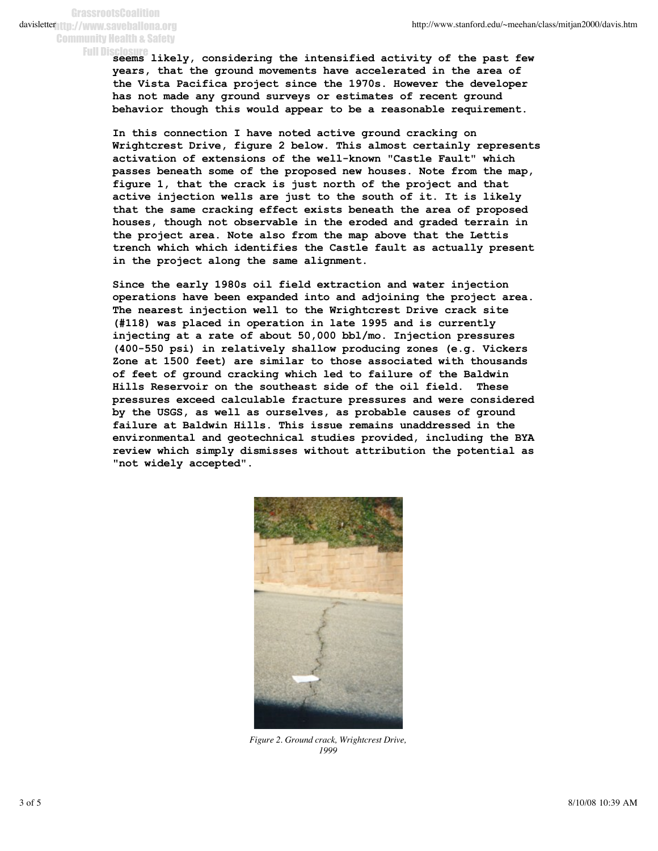**GrassrootsCoalition** davisletter 11.//www.saveballona.org Community Health & Safety

**seems likely, considering the intensified activity of the past few** Full Disclosure**years, that the ground movements have accelerated in the area of the Vista Pacifica project since the 1970s. However the developer has not made any ground surveys or estimates of recent ground behavior though this would appear to be a reasonable requirement.** 

**In this connection I have noted active ground cracking on Wrightcrest Drive, figure 2 below. This almost certainly represents activation of extensions of the well-known "Castle Fault" which passes beneath some of the proposed new houses. Note from the map, figure 1, that the crack is just north of the project and that active injection wells are just to the south of it. It is likely that the same cracking effect exists beneath the area of proposed houses, though not observable in the eroded and graded terrain in the project area. Note also from the map above that the Lettis trench which which identifies the Castle fault as actually present in the project along the same alignment.**

**Since the early 1980s oil field extraction and water injection operations have been expanded into and adjoining the project area. The nearest injection well to the Wrightcrest Drive crack site (#118) was placed in operation in late 1995 and is currently injecting at a rate of about 50,000 bbl/mo. Injection pressures (400-550 psi) in relatively shallow producing zones (e.g. Vickers Zone at 1500 feet) are similar to those associated with thousands of feet of ground cracking which led to failure of the Baldwin Hills Reservoir on the southeast side of the oil field. These pressures exceed calculable fracture pressures and were considered by the USGS, as well as ourselves, as probable causes of ground failure at Baldwin Hills. This issue remains unaddressed in the environmental and geotechnical studies provided, including the BYA review which simply dismisses without attribution the potential as "not widely accepted".** 



*Figure 2. Ground crack, Wrightcrest Drive, 1999*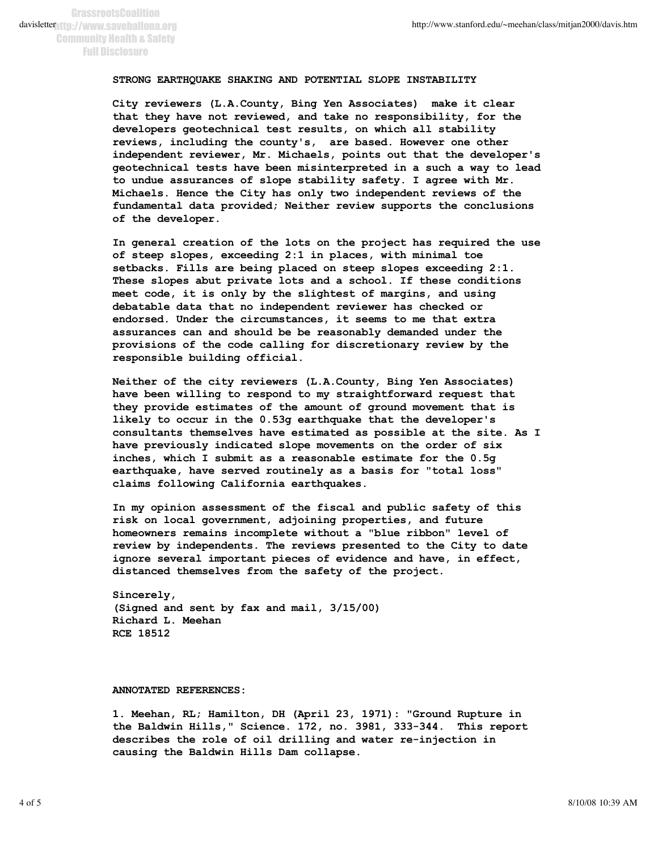## **STRONG EARTHQUAKE SHAKING AND POTENTIAL SLOPE INSTABILITY**

**City reviewers (L.A.County, Bing Yen Associates) make it clear that they have not reviewed, and take no responsibility, for the developers geotechnical test results, on which all stability reviews, including the county's, are based. However one other independent reviewer, Mr. Michaels, points out that the developer's geotechnical tests have been misinterpreted in a such a way to lead to undue assurances of slope stability safety. I agree with Mr. Michaels. Hence the City has only two independent reviews of the fundamental data provided; Neither review supports the conclusions of the developer.**

**In general creation of the lots on the project has required the use of steep slopes, exceeding 2:1 in places, with minimal toe setbacks. Fills are being placed on steep slopes exceeding 2:1. These slopes abut private lots and a school. If these conditions meet code, it is only by the slightest of margins, and using debatable data that no independent reviewer has checked or endorsed. Under the circumstances, it seems to me that extra assurances can and should be be reasonably demanded under the provisions of the code calling for discretionary review by the responsible building official.**

**Neither of the city reviewers (L.A.County, Bing Yen Associates) have been willing to respond to my straightforward request that they provide estimates of the amount of ground movement that is likely to occur in the 0.53g earthquake that the developer's consultants themselves have estimated as possible at the site. As I have previously indicated slope movements on the order of six inches, which I submit as a reasonable estimate for the 0.5g earthquake, have served routinely as a basis for "total loss" claims following California earthquakes.**

**In my opinion assessment of the fiscal and public safety of this risk on local government, adjoining properties, and future homeowners remains incomplete without a "blue ribbon" level of review by independents. The reviews presented to the City to date ignore several important pieces of evidence and have, in effect, distanced themselves from the safety of the project.**

**Sincerely, (Signed and sent by fax and mail, 3/15/00) Richard L. Meehan RCE 18512**

**ANNOTATED REFERENCES:** 

**1. Meehan, RL; Hamilton, DH (April 23, 1971): "Ground Rupture in the Baldwin Hills," Science. 172, no. 3981, 333-344. This report describes the role of oil drilling and water re-injection in causing the Baldwin Hills Dam collapse.**